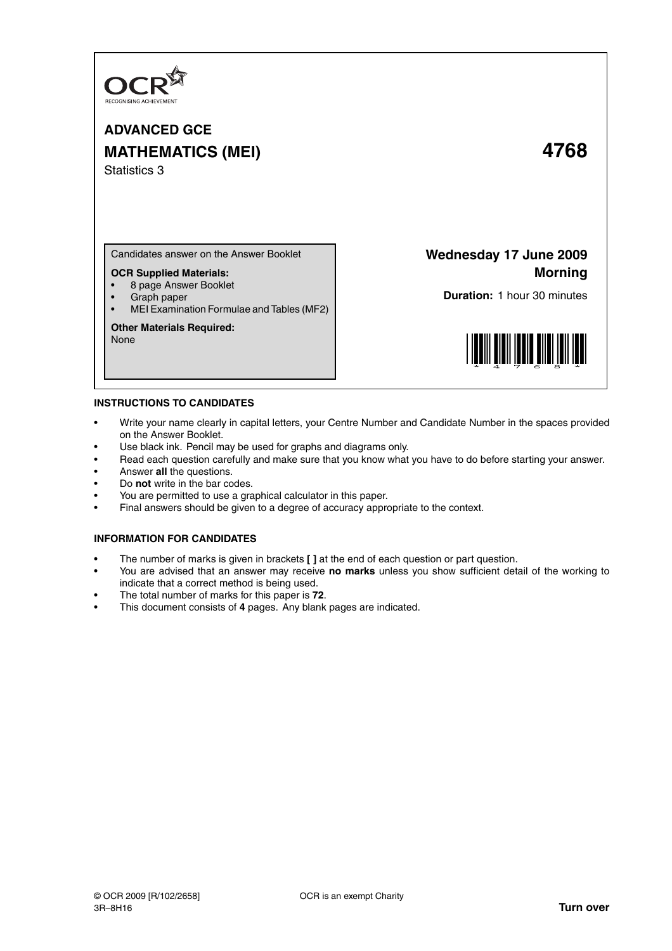

# **ADVANCED GCE MATHEMATICS (MEI) 4768** Statistics 3

Candidates answer on the Answer Booklet

## **OCR Supplied Materials:**

- 8 page Answer Booklet
- Graph paper
- MEI Examination Formulae and Tables (MF2)

## **Other Materials Required:**

None

## **Wednesday 17 June 2009 Morning**

**Duration:** 1 hour 30 minutes



## **INSTRUCTIONS TO CANDIDATES**

- Write your name clearly in capital letters, your Centre Number and Candidate Number in the spaces provided on the Answer Booklet.
- Use black ink. Pencil may be used for graphs and diagrams only.
- Read each question carefully and make sure that you know what you have to do before starting your answer.
- Answer **all** the questions.
- Do **not** write in the bar codes.
- You are permitted to use a graphical calculator in this paper.
- Final answers should be given to a degree of accuracy appropriate to the context.

## **INFORMATION FOR CANDIDATES**

- The number of marks is given in brackets **[ ]** at the end of each question or part question.
- You are advised that an answer may receive **no marks** unless you show sufficient detail of the working to indicate that a correct method is being used.
- The total number of marks for this paper is **72**.
- This document consists of **4** pages. Any blank pages are indicated.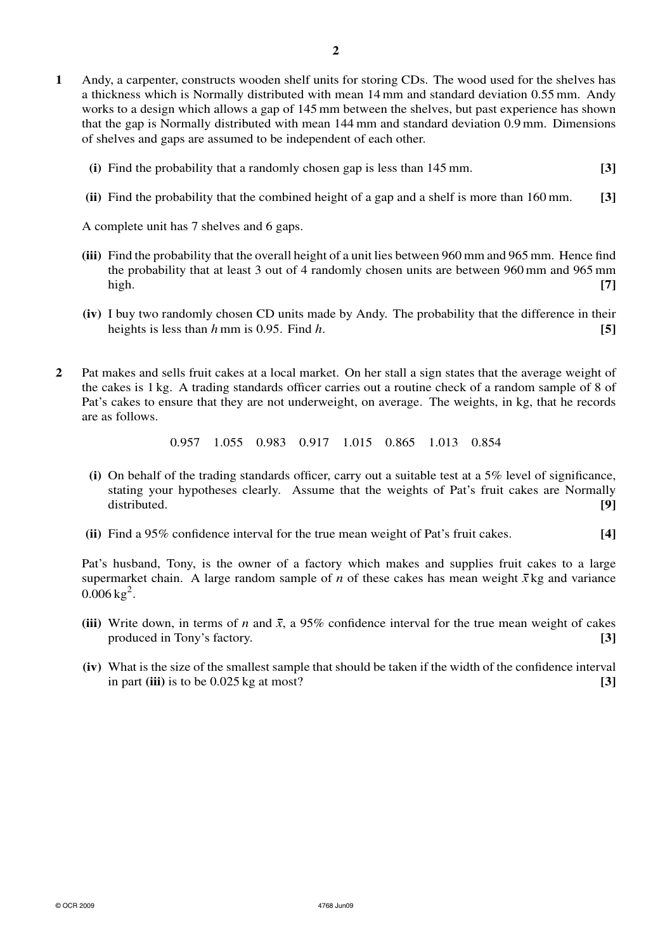- **1** Andy, a carpenter, constructs wooden shelf units for storing CDs. The wood used for the shelves has a thickness which is Normally distributed with mean 14 mm and standard deviation 0.55 mm. Andy works to a design which allows a gap of 145 mm between the shelves, but past experience has shown that the gap is Normally distributed with mean 144 mm and standard deviation 0.9 mm. Dimensions of shelves and gaps are assumed to be independent of each other.
	- **(i)** Find the probability that a randomly chosen gap is less than 145 mm. **[3]**
	- **(ii)** Find the probability that the combined height of a gap and a shelf is more than 160 mm. **[3]**

A complete unit has 7 shelves and 6 gaps.

- **(iii)** Find the probability that the overall height of a unit lies between 960 mm and 965 mm. Hence find the probability that at least 3 out of 4 randomly chosen units are between 960 mm and 965 mm high. **[7]**
- **(iv)** I buy two randomly chosen CD units made by Andy. The probability that the difference in their heights is less than  $h$  mm is 0.95. Find  $h$ . **[5] [5]**
- **2** Pat makes and sells fruit cakes at a local market. On her stall a sign states that the average weight of the cakes is 1 kg. A trading standards officer carries out a routine check of a random sample of 8 of Pat's cakes to ensure that they are not underweight, on average. The weights, in kg, that he records are as follows.

0.957 1.055 0.983 0.917 1.015 0.865 1.013 0.854

- **(i)** On behalf of the trading standards officer, carry out a suitable test at a 5% level of significance, stating your hypotheses clearly. Assume that the weights of Pat's fruit cakes are Normally distributed. **[9]**
- **(ii)** Find a 95% confidence interval for the true mean weight of Pat's fruit cakes. **[4]**

Pat's husband, Tony, is the owner of a factory which makes and supplies fruit cakes to a large supermarket chain. A large random sample of *n* of these cakes has mean weight  $\bar{x}$  kg and variance  $0.006 \,\mathrm{kg}^2$ .

- (iii) Write down, in terms of *n* and  $\bar{x}$ , a 95% confidence interval for the true mean weight of cakes produced in Tony's factory. **[3]**
- **(iv)** What is the size of the smallest sample that should be taken if the width of the confidence interval in part **(iii)** is to be 0.025 kg at most? **[3]**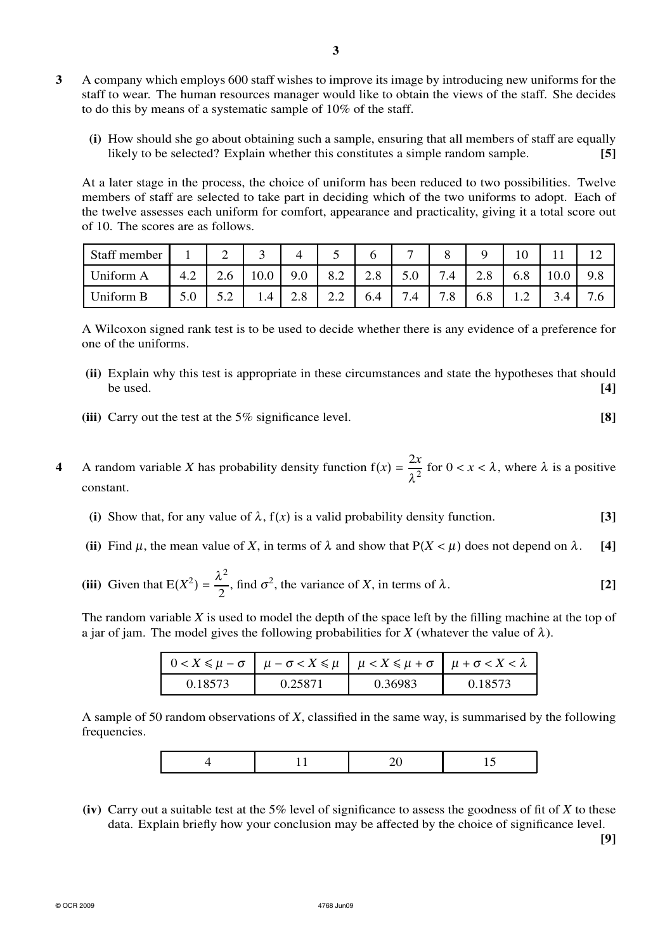- **3** A company which employs 600 staff wishes to improve its image by introducing new uniforms for the staff to wear. The human resources manager would like to obtain the views of the staff. She decides to do this by means of a systematic sample of 10% of the staff.
	- **(i)** How should she go about obtaining such a sample, ensuring that all members of staff are equally likely to be selected? Explain whether this constitutes a simple random sample. **[5]**

At a later stage in the process, the choice of uniform has been reduced to two possibilities. Twelve members of staff are selected to take part in deciding which of the two uniforms to adopt. Each of the twelve assesses each uniform for comfort, appearance and practicality, giving it a total score out of 10. The scores are as follows.

| Staff member |     | ∸   |      |                    |                      |     |                    |                               |                   | ιv                |      | ┸       |
|--------------|-----|-----|------|--------------------|----------------------|-----|--------------------|-------------------------------|-------------------|-------------------|------|---------|
| Uniform A    | 4.2 | 2.O | 10.0 | 9.0                | 8.2                  | 2.8 | 5.0                | $\overline{ }$<br>7.4         | ററ<br>$\angle$ .0 | 6.8               | 10.0 | 9.8     |
| Uniform B    | J.U | ے . | 1.4  | റ റ<br>$\angle$ .0 | $\cap$ $\cap$<br>2.Z | 6.4 | ⇁<br>$^{\prime}.4$ | $\overline{ }$<br>$\cdot$ . O | 6.8               | $\perp$ . $\perp$ | 3.4  | ⇁<br>.0 |

A Wilcoxon signed rank test is to be used to decide whether there is any evidence of a preference for one of the uniforms.

- **(ii)** Explain why this test is appropriate in these circumstances and state the hypotheses that should be used.  $[4]$
- **(iii)** Carry out the test at the 5% significance level. **[8]**
- **4** A random variable *X* has probability density function  $f(x) = \frac{2x}{\lambda^2}$  for  $0 < x < \lambda$ , where  $\lambda$  is a positive constant.
	- **(i)** Show that, for any value of  $\lambda$ ,  $f(x)$  is a valid probability density function. **[3]**
	- (ii) Find  $\mu$ , the mean value of *X*, in terms of  $\lambda$  and show that  $P(X \leq \mu)$  does not depend on  $\lambda$ . [4]
	- **(iii)** Given that  $E(X^2) = \frac{\lambda^2}{2}$  $\frac{1}{2}$ , find  $\sigma^2$ , the variance of *X*, in terms of  $\lambda$ . **[2]**

The random variable *X* is used to model the depth of the space left by the filling machine at the top of a jar of jam. The model gives the following probabilities for *X* (whatever the value of  $\lambda$ ).

|         | $0 < X \leq \mu - \sigma$ $\mu - \sigma < X \leq \mu$ $\mu < X \leq \mu + \sigma$ $\mu + \sigma < X < \lambda$ |         |         |
|---------|----------------------------------------------------------------------------------------------------------------|---------|---------|
| 0.18573 | 0.25871                                                                                                        | 0.36983 | 0.18573 |

A sample of 50 random observations of *X*, classified in the same way, is summarised by the following frequencies.

**(iv)** Carry out a suitable test at the 5% level of significance to assess the goodness of fit of *X* to these data. Explain briefly how your conclusion may be affected by the choice of significance level.

**[9]**